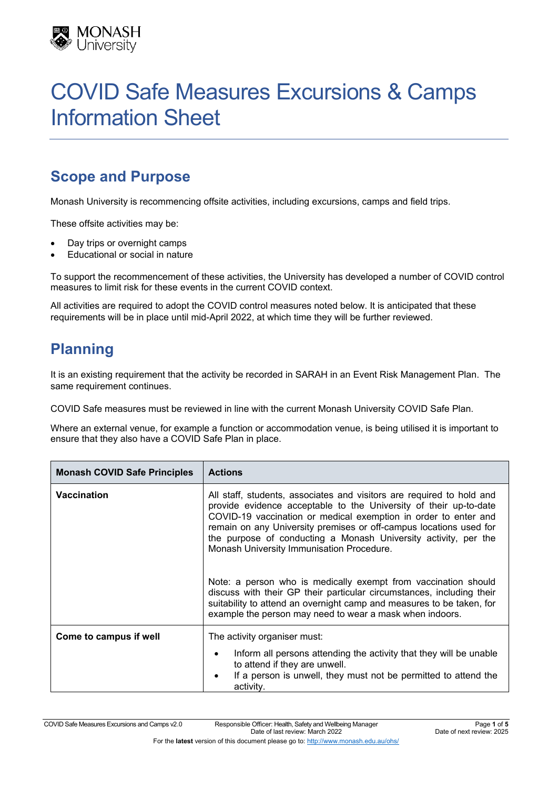

# COVID Safe Measures Excursions & Camps Information Sheet

# **Scope and Purpose**

Monash University is recommencing offsite activities, including excursions, camps and field trips.

These offsite activities may be:

- Day trips or overnight camps
- Educational or social in nature

To support the recommencement of these activities, the University has developed a number of COVID control measures to limit risk for these events in the current COVID context.

All activities are required to adopt the COVID control measures noted below. It is anticipated that these requirements will be in place until mid-April 2022, at which time they will be further reviewed.

# **Planning**

It is an existing requirement that the activity be recorded in SARAH in an Event Risk Management Plan. The same requirement continues.

COVID Safe measures must be reviewed in line with the current Monash University COVID Safe Plan.

Where an external venue, for example a function or accommodation venue, is being utilised it is important to ensure that they also have a COVID Safe Plan in place.

| <b>Monash COVID Safe Principles</b> | <b>Actions</b>                                                                                                                                                                                                                                                                                                                                                                                      |
|-------------------------------------|-----------------------------------------------------------------------------------------------------------------------------------------------------------------------------------------------------------------------------------------------------------------------------------------------------------------------------------------------------------------------------------------------------|
| <b>Vaccination</b>                  | All staff, students, associates and visitors are required to hold and<br>provide evidence acceptable to the University of their up-to-date<br>COVID-19 vaccination or medical exemption in order to enter and<br>remain on any University premises or off-campus locations used for<br>the purpose of conducting a Monash University activity, per the<br>Monash University Immunisation Procedure. |
|                                     | Note: a person who is medically exempt from vaccination should<br>discuss with their GP their particular circumstances, including their<br>suitability to attend an overnight camp and measures to be taken, for<br>example the person may need to wear a mask when indoors.                                                                                                                        |
| Come to campus if well              | The activity organiser must:                                                                                                                                                                                                                                                                                                                                                                        |
|                                     | Inform all persons attending the activity that they will be unable<br>to attend if they are unwell.<br>If a person is unwell, they must not be permitted to attend the<br>activity.                                                                                                                                                                                                                 |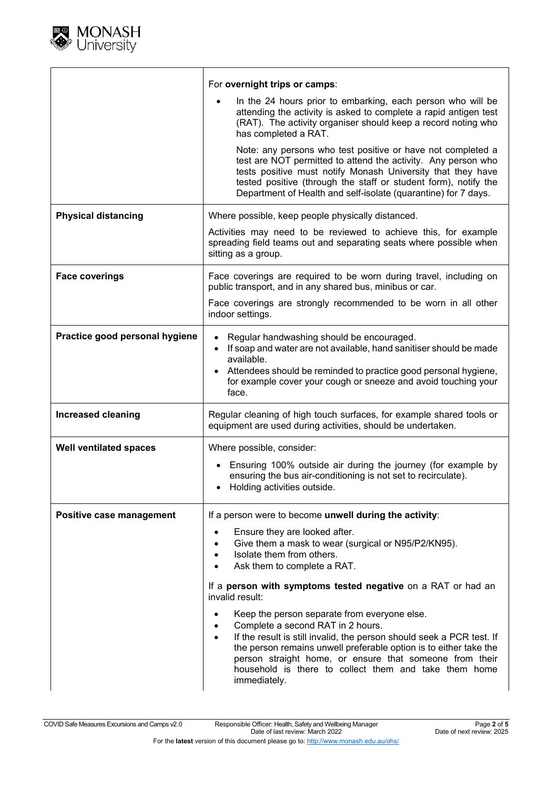

|                                | For overnight trips or camps:                                                                                                                                                                                                                                                                                                                                                    |
|--------------------------------|----------------------------------------------------------------------------------------------------------------------------------------------------------------------------------------------------------------------------------------------------------------------------------------------------------------------------------------------------------------------------------|
|                                | In the 24 hours prior to embarking, each person who will be<br>attending the activity is asked to complete a rapid antigen test<br>(RAT). The activity organiser should keep a record noting who<br>has completed a RAT.                                                                                                                                                         |
|                                | Note: any persons who test positive or have not completed a<br>test are NOT permitted to attend the activity. Any person who<br>tests positive must notify Monash University that they have<br>tested positive (through the staff or student form), notify the<br>Department of Health and self-isolate (quarantine) for 7 days.                                                 |
| <b>Physical distancing</b>     | Where possible, keep people physically distanced.                                                                                                                                                                                                                                                                                                                                |
|                                | Activities may need to be reviewed to achieve this, for example<br>spreading field teams out and separating seats where possible when<br>sitting as a group.                                                                                                                                                                                                                     |
| <b>Face coverings</b>          | Face coverings are required to be worn during travel, including on<br>public transport, and in any shared bus, minibus or car.                                                                                                                                                                                                                                                   |
|                                | Face coverings are strongly recommended to be worn in all other<br>indoor settings.                                                                                                                                                                                                                                                                                              |
| Practice good personal hygiene | Regular handwashing should be encouraged.<br>If soap and water are not available, hand sanitiser should be made<br>$\bullet$<br>available.<br>Attendees should be reminded to practice good personal hygiene,<br>for example cover your cough or sneeze and avoid touching your<br>face.                                                                                         |
| <b>Increased cleaning</b>      | Regular cleaning of high touch surfaces, for example shared tools or<br>equipment are used during activities, should be undertaken.                                                                                                                                                                                                                                              |
| <b>Well ventilated spaces</b>  | Where possible, consider:                                                                                                                                                                                                                                                                                                                                                        |
|                                | Ensuring 100% outside air during the journey (for example by<br>$\bullet$<br>ensuring the bus air-conditioning is not set to recirculate).<br>Holding activities outside.<br>$\bullet$                                                                                                                                                                                           |
| Positive case management       | If a person were to become unwell during the activity:                                                                                                                                                                                                                                                                                                                           |
|                                | Ensure they are looked after.<br>$\bullet$<br>Give them a mask to wear (surgical or N95/P2/KN95).<br>$\bullet$<br>Isolate them from others.<br>Ask them to complete a RAT.                                                                                                                                                                                                       |
|                                | If a person with symptoms tested negative on a RAT or had an<br>invalid result:                                                                                                                                                                                                                                                                                                  |
|                                | Keep the person separate from everyone else.<br>Complete a second RAT in 2 hours.<br>If the result is still invalid, the person should seek a PCR test. If<br>$\bullet$<br>the person remains unwell preferable option is to either take the<br>person straight home, or ensure that someone from their<br>household is there to collect them and take them home<br>immediately. |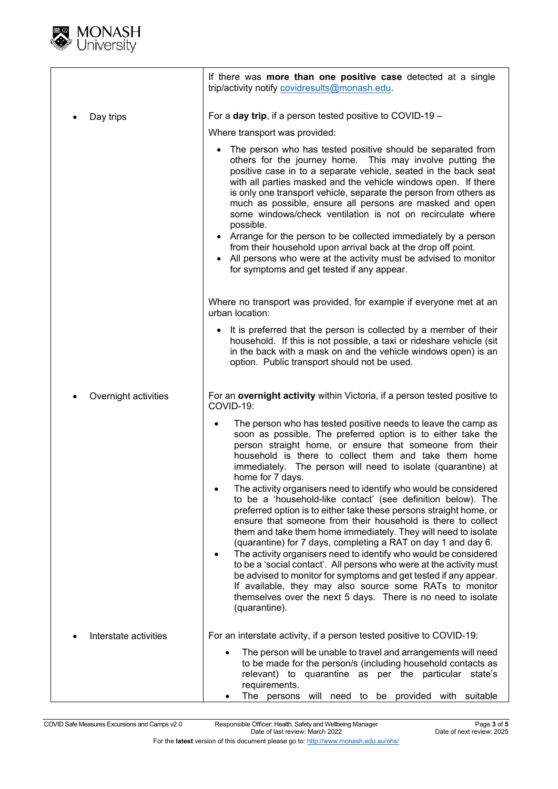

|                       | If there was more than one positive case detected at a single<br>trip/activity notify covidresults@monash.edu.                                                                                                                                                                                                                                                                                                                                                                                                                                                                                                                                                                                                                                                                                                                                                                                                                                                                                                                                                                                                                                                                                          |
|-----------------------|---------------------------------------------------------------------------------------------------------------------------------------------------------------------------------------------------------------------------------------------------------------------------------------------------------------------------------------------------------------------------------------------------------------------------------------------------------------------------------------------------------------------------------------------------------------------------------------------------------------------------------------------------------------------------------------------------------------------------------------------------------------------------------------------------------------------------------------------------------------------------------------------------------------------------------------------------------------------------------------------------------------------------------------------------------------------------------------------------------------------------------------------------------------------------------------------------------|
| Day trips             | For a day trip, if a person tested positive to COVID-19 -<br>Where transport was provided:<br>The person who has tested positive should be separated from<br>$\bullet$<br>others for the journey home. This may involve putting the<br>positive case in to a separate vehicle, seated in the back seat<br>with all parties masked and the vehicle windows open. If there<br>is only one transport vehicle, separate the person from others as<br>much as possible, ensure all persons are masked and open<br>some windows/check ventilation is not on recirculate where<br>possible.<br>• Arrange for the person to be collected immediately by a person<br>from their household upon arrival back at the drop off point.<br>• All persons who were at the activity must be advised to monitor<br>for symptoms and get tested if any appear.                                                                                                                                                                                                                                                                                                                                                            |
|                       | Where no transport was provided, for example if everyone met at an<br>urban location:<br>• It is preferred that the person is collected by a member of their<br>household. If this is not possible, a taxi or rideshare vehicle (sit<br>in the back with a mask on and the vehicle windows open) is an<br>option. Public transport should not be used.                                                                                                                                                                                                                                                                                                                                                                                                                                                                                                                                                                                                                                                                                                                                                                                                                                                  |
| Overnight activities  | For an overnight activity within Victoria, if a person tested positive to<br>COVID-19:<br>The person who has tested positive needs to leave the camp as<br>soon as possible. The preferred option is to either take the<br>person straight home, or ensure that someone from their<br>household is there to collect them and take them home<br>immediately. The person will need to isolate (quarantine) at<br>home for 7 days.<br>The activity organisers need to identify who would be considered<br>to be a 'household-like contact' (see definition below). The<br>preferred option is to either take these persons straight home, or<br>ensure that someone from their household is there to collect<br>them and take them home immediately. They will need to isolate<br>(quarantine) for 7 days, completing a RAT on day 1 and day 6.<br>The activity organisers need to identify who would be considered<br>to be a 'social contact'. All persons who were at the activity must<br>be advised to monitor for symptoms and get tested if any appear.<br>If available, they may also source some RATs to monitor<br>themselves over the next 5 days. There is no need to isolate<br>(quarantine). |
| Interstate activities | For an interstate activity, if a person tested positive to COVID-19:<br>The person will be unable to travel and arrangements will need<br>to be made for the person/s (including household contacts as<br>relevant) to quarantine as per the particular state's<br>requirements.<br>be provided<br>The persons<br>will need to<br>with suitable                                                                                                                                                                                                                                                                                                                                                                                                                                                                                                                                                                                                                                                                                                                                                                                                                                                         |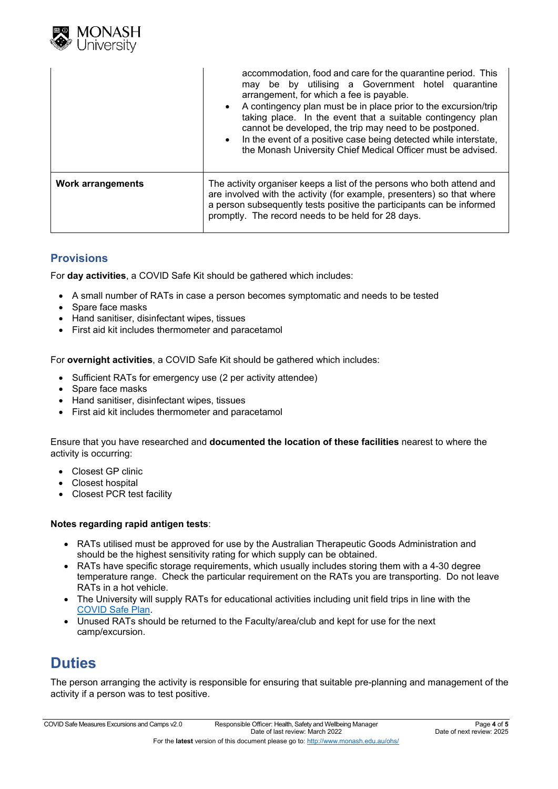

|                          | accommodation, food and care for the quarantine period. This<br>may be by utilising a Government hotel quarantine<br>arrangement, for which a fee is payable.<br>• A contingency plan must be in place prior to the excursion/trip<br>taking place. In the event that a suitable contingency plan<br>cannot be developed, the trip may need to be postponed.<br>• In the event of a positive case being detected while interstate,<br>the Monash University Chief Medical Officer must be advised. |
|--------------------------|----------------------------------------------------------------------------------------------------------------------------------------------------------------------------------------------------------------------------------------------------------------------------------------------------------------------------------------------------------------------------------------------------------------------------------------------------------------------------------------------------|
| <b>Work arrangements</b> | The activity organiser keeps a list of the persons who both attend and<br>are involved with the activity (for example, presenters) so that where<br>a person subsequently tests positive the participants can be informed<br>promptly. The record needs to be held for 28 days.                                                                                                                                                                                                                    |

#### **Provisions**

For **day activities**, a COVID Safe Kit should be gathered which includes:

- A small number of RATs in case a person becomes symptomatic and needs to be tested
- Spare face masks
- Hand sanitiser, disinfectant wipes, tissues
- First aid kit includes thermometer and paracetamol

For **overnight activities**, a COVID Safe Kit should be gathered which includes:

- Sufficient RATs for emergency use (2 per activity attendee)
- Spare face masks
- Hand sanitiser, disinfectant wipes, tissues
- First aid kit includes thermometer and paracetamol

Ensure that you have researched and **documented the location of these facilities** nearest to where the activity is occurring:

- Closest GP clinic
- Closest hospital
- Closest PCR test facility

#### **Notes regarding rapid antigen tests**:

- RATs utilised must be approved for use by the Australian Therapeutic Goods Administration and should be the highest sensitivity rating for which supply can be obtained.
- RATs have specific storage requirements, which usually includes storing them with a 4-30 degree temperature range. Check the particular requirement on the RATs you are transporting. Do not leave RATs in a hot vehicle.
- The University will supply RATs for educational activities including unit field trips in line with the [COVID Safe Plan.](https://www.monash.edu/__data/assets/pdf_file/0010/2406790/COVID-Safe-Plan.pdf)
- Unused RATs should be returned to the Faculty/area/club and kept for use for the next camp/excursion.

## **Duties**

The person arranging the activity is responsible for ensuring that suitable pre-planning and management of the activity if a person was to test positive.